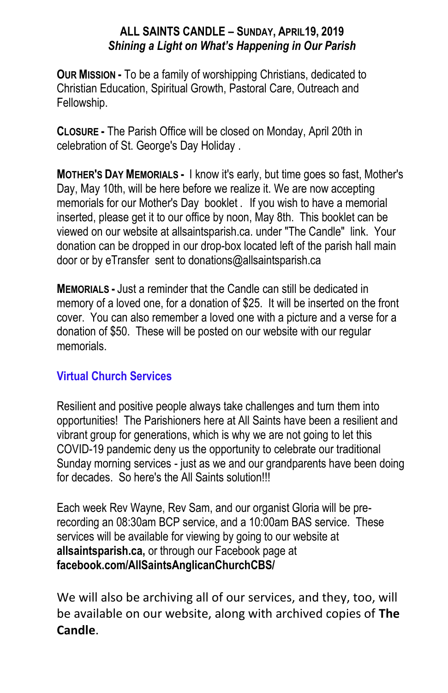### **ALL SAINTS CANDLE – SUNDAY, APRIL19, 2019** *Shining a Light on What's Happening in Our Parish*

**OUR MISSION -** To be a family of worshipping Christians, dedicated to Christian Education, Spiritual Growth, Pastoral Care, Outreach and Fellowship.

**CLOSURE -** The Parish Office will be closed on Monday, April 20th in celebration of St. George's Day Holiday .

**MOTHER'S DAY MEMORIALS -** I know it's early, but time goes so fast, Mother's Day, May 10th, will be here before we realize it. We are now accepting memorials for our Mother's Day booklet . If you wish to have a memorial inserted, please get it to our office by noon, May 8th. This booklet can be viewed on our website at allsaintsparish.ca. under "The Candle" link. Your donation can be dropped in our drop-box located left of the parish hall main door or by eTransfer sent to donations@allsaintsparish.ca

**MEMORIALS -** Just a reminder that the Candle can still be dedicated in memory of a loved one, for a donation of \$25. It will be inserted on the front cover. You can also remember a loved one with a picture and a verse for a donation of \$50. These will be posted on our website with our regular memorials.

## **Virtual Church Services**

Resilient and positive people always take challenges and turn them into opportunities! The Parishioners here at All Saints have been a resilient and vibrant group for generations, which is why we are not going to let this COVID-19 pandemic deny us the opportunity to celebrate our traditional Sunday morning services - just as we and our grandparents have been doing for decades. So here's the All Saints solution!!!

Each week Rev Wayne, Rev Sam, and our organist Gloria will be prerecording an 08:30am BCP service, and a 10:00am BAS service. These services will be available for viewing by going to our website at **allsaintsparish.ca,** or through our Facebook page at **facebook.com/AllSaintsAnglicanChurchCBS/**

We will also be archiving all of our services, and they, too, will be available on our website, along with archived copies of **The Candle**.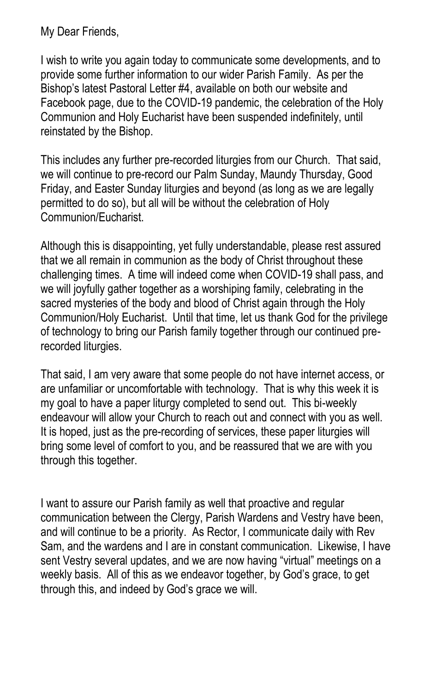My Dear Friends,

I wish to write you again today to communicate some developments, and to provide some further information to our wider Parish Family. As per the Bishop's latest Pastoral Letter #4, available on both our website and Facebook page, due to the COVID-19 pandemic, the celebration of the Holy Communion and Holy Eucharist have been suspended indefinitely, until reinstated by the Bishop.

This includes any further pre-recorded liturgies from our Church. That said, we will continue to pre-record our Palm Sunday, Maundy Thursday, Good Friday, and Easter Sunday liturgies and beyond (as long as we are legally permitted to do so), but all will be without the celebration of Holy Communion/Eucharist.

Although this is disappointing, yet fully understandable, please rest assured that we all remain in communion as the body of Christ throughout these challenging times. A time will indeed come when COVID-19 shall pass, and we will joyfully gather together as a worshiping family, celebrating in the sacred mysteries of the body and blood of Christ again through the Holy Communion/Holy Eucharist. Until that time, let us thank God for the privilege of technology to bring our Parish family together through our continued prerecorded liturgies.

That said, I am very aware that some people do not have internet access, or are unfamiliar or uncomfortable with technology. That is why this week it is my goal to have a paper liturgy completed to send out. This bi-weekly endeavour will allow your Church to reach out and connect with you as well. It is hoped, just as the pre-recording of services, these paper liturgies will bring some level of comfort to you, and be reassured that we are with you through this together.

I want to assure our Parish family as well that proactive and regular communication between the Clergy, Parish Wardens and Vestry have been, and will continue to be a priority. As Rector, I communicate daily with Rev Sam, and the wardens and I are in constant communication. Likewise, I have sent Vestry several updates, and we are now having "virtual" meetings on a weekly basis. All of this as we endeavor together, by God's grace, to get through this, and indeed by God's grace we will.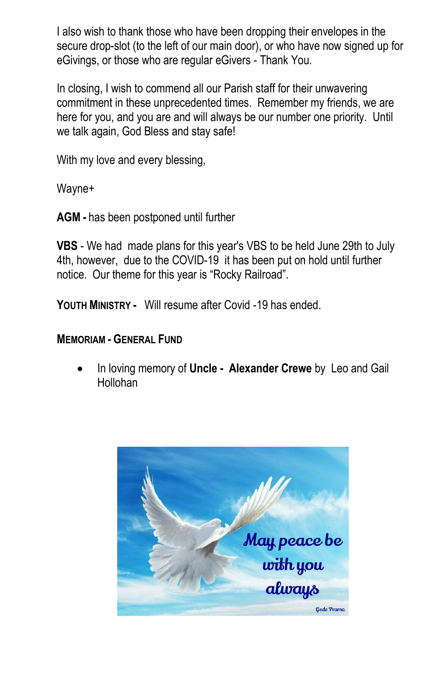I also wish to thank those who have been dropping their envelopes in the secure drop-slot (to the left of our main door), or who have now signed up for eGivings, or those who are regular eGivers - Thank You.

In closing, I wish to commend all our Parish staff for their unwavering commitment in these unprecedented times. Remember my friends, we are here for you, and you are and will always be our number one priority. Until we talk again, God Bless and stay safe!

With my love and every blessing,

Wayne+

**AGM -** has been postponed until further

**VBS** - We had made plans for this year's VBS to be held June 29th to July 4th, however, due to the COVID-19 it has been put on hold until further notice. Our theme for this year is "Rocky Railroad".

**YOUTH MINISTRY -** Will resume after Covid -19 has ended.

#### **MEMORIAM - GENERAL FUND**

 In loving memory of **Uncle - Alexander Crewe** by Leo and Gail Hollohan